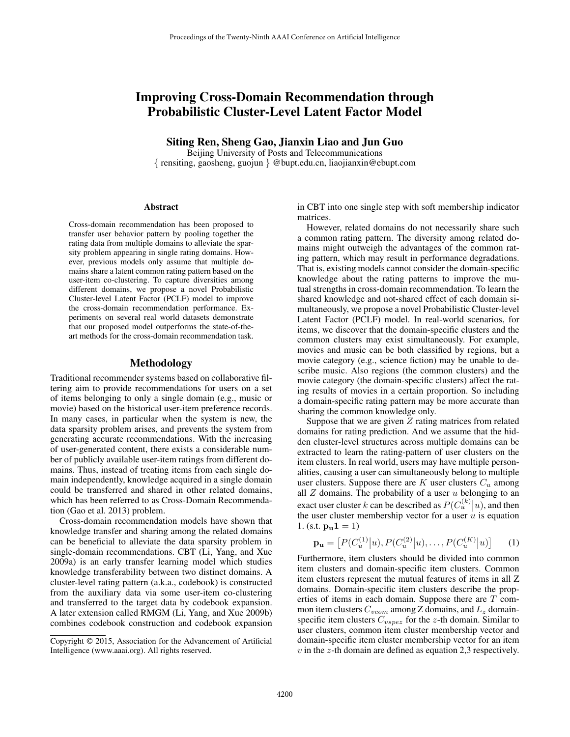# Improving Cross-Domain Recommendation through Probabilistic Cluster-Level Latent Factor Model

Siting Ren, Sheng Gao, Jianxin Liao and Jun Guo

Beijing University of Posts and Telecommunications { rensiting, gaosheng, guojun } @bupt.edu.cn, liaojianxin@ebupt.com

### Abstract

Cross-domain recommendation has been proposed to transfer user behavior pattern by pooling together the rating data from multiple domains to alleviate the sparsity problem appearing in single rating domains. However, previous models only assume that multiple domains share a latent common rating pattern based on the user-item co-clustering. To capture diversities among different domains, we propose a novel Probabilistic Cluster-level Latent Factor (PCLF) model to improve the cross-domain recommendation performance. Experiments on several real world datasets demonstrate that our proposed model outperforms the state-of-theart methods for the cross-domain recommendation task.

## Methodology

Traditional recommender systems based on collaborative filtering aim to provide recommendations for users on a set of items belonging to only a single domain (e.g., music or movie) based on the historical user-item preference records. In many cases, in particular when the system is new, the data sparsity problem arises, and prevents the system from generating accurate recommendations. With the increasing of user-generated content, there exists a considerable number of publicly available user-item ratings from different domains. Thus, instead of treating items from each single domain independently, knowledge acquired in a single domain could be transferred and shared in other related domains, which has been referred to as Cross-Domain Recommendation (Gao et al. 2013) problem.

Cross-domain recommendation models have shown that knowledge transfer and sharing among the related domains can be beneficial to alleviate the data sparsity problem in single-domain recommendations. CBT (Li, Yang, and Xue 2009a) is an early transfer learning model which studies knowledge transferability between two distinct domains. A cluster-level rating pattern (a.k.a., codebook) is constructed from the auxiliary data via some user-item co-clustering and transferred to the target data by codebook expansion. A later extension called RMGM (Li, Yang, and Xue 2009b) combines codebook construction and codebook expansion

in CBT into one single step with soft membership indicator matrices.

However, related domains do not necessarily share such a common rating pattern. The diversity among related domains might outweigh the advantages of the common rating pattern, which may result in performance degradations. That is, existing models cannot consider the domain-specific knowledge about the rating patterns to improve the mutual strengths in cross-domain recommendation. To learn the shared knowledge and not-shared effect of each domain simultaneously, we propose a novel Probabilistic Cluster-level Latent Factor (PCLF) model. In real-world scenarios, for items, we discover that the domain-specific clusters and the common clusters may exist simultaneously. For example, movies and music can be both classified by regions, but a movie category (e.g., science fiction) may be unable to describe music. Also regions (the common clusters) and the movie category (the domain-specific clusters) affect the rating results of movies in a certain proportion. So including a domain-specific rating pattern may be more accurate than sharing the common knowledge only.

Suppose that we are given  $Z$  rating matrices from related domains for rating prediction. And we assume that the hidden cluster-level structures across multiple domains can be extracted to learn the rating-pattern of user clusters on the item clusters. In real world, users may have multiple personalities, causing a user can simultaneously belong to multiple user clusters. Suppose there are K user clusters  $C_u$  among all  $Z$  domains. The probability of a user  $u$  belonging to an exact user cluster k can be described as  $P(C_u^{(k)} | u)$ , and then the user cluster membership vector for a user  $u$  is equation 1. (s.t.  ${\bf p_u 1} = 1$ )

$$
\mathbf{p_u} = [P(C_u^{(1)}|u), P(C_u^{(2)}|u), \dots, P(C_u^{(K)}|u)] \qquad (1)
$$

Furthermore, item clusters should be divided into common item clusters and domain-specific item clusters. Common item clusters represent the mutual features of items in all Z domains. Domain-specific item clusters describe the properties of items in each domain. Suppose there are  $T$  common item clusters  $C_{vcom}$  among Z domains, and  $L_z$  domainspecific item clusters  $C_{vspec}$  for the z-th domain. Similar to user clusters, common item cluster membership vector and domain-specific item cluster membership vector for an item  $v$  in the  $z$ -th domain are defined as equation 2,3 respectively.

Copyright © 2015, Association for the Advancement of Artificial Intelligence (www.aaai.org). All rights reserved.